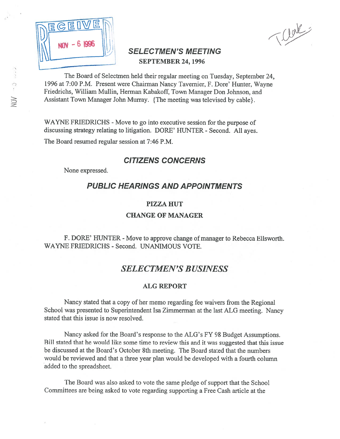

Treat

## SELECTMEN'S MEETING **SEPTEMBER 24, 1996**

The Board of Selectmen held their regular meeting on Tuesday, September 24, 1996 at 7:00 P.M. Present were Chairman Nancy Tavernier, F. Dore' Hunter, Wayne Friedrichs, William Mullin, Herman Kabakoff, Town Manager Don Johnson, and Assistant Town Manager John Murray. {The meeting was televised by cable}.

WAYNE FRIEDRICHS - Move to go into executive session for the purpose of discussing strategy relating to litigation. DORE' HUNTER - Second. All ayes.

The Board resumed regular session at 7:46 P.M.

## CITIZENS CONCERNS

None expressed.

## PUBLIC HEARINGS AND APPOINTMENTS

### PIZZA HUT

## CHANGE OF MANAGER

## F. DORE' HUNTER - Move to approve change of manager to Rebecca Ellsworth. WAYNE FRIEDRICHS - Second. UNANIMOUS VOTE.

## SELECTMEN'S BUSINESS

### ALG REPORT

Nancy stated that <sup>a</sup> copy of her memo regarding fee waivers from the Regional School was presented to Superintendent Isa Zimmerman at the last ALG meeting. Nancy stated that this issue is now resolved.

Nancy asked for the Board's response to the ALG's FY 98 Budget Assumptions. Bill stated that he would like some time to review this and it was suggested that this issue be discussed at the Board's October 8th meeting. The Board stated that the numbers would be reviewed and that a three year plan would be developed with a fourth column added to the spreadsheet.

The Board was also asked to vote the same pledge of suppor<sup>t</sup> that the School Committees are being asked to vote regarding supporting <sup>a</sup> Free Cash article at the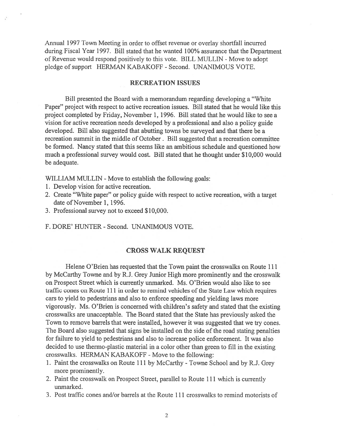Annual 1997 Town Meeting in order to offset revenue or overlay shortfall incurred during fiscal Year 1997. Bill stated that he wanted 100% assurance that the Department of Revenue would respond positively to this vote. BILL MULLIN - Move to adopt pledge of suppor<sup>t</sup> HERMAN KABAKOFF - Second. UNANIMOUS VOTE.

#### RECREATION ISSUES

Bill presented the Board with <sup>a</sup> memorandum regarding developing <sup>a</sup> "White Paper" project with respec<sup>t</sup> to active recreation issues. Bill stated that he would like this project completed by Friday, November 1, 1996. Bill stated that he would like to see <sup>a</sup> vision for active recreation needs developed by <sup>a</sup> professional and also <sup>a</sup> policy guide developed. Bill also suggested that abutting towns be surveyed and that there be <sup>a</sup> recreation summit in the middle of October. Bill suggested that <sup>a</sup> recreation committee be formed. Nancy stated that this seems like an ambitious schedule and questioned how much <sup>a</sup> professional survey would cost. Bill stated that he thought under \$10,000 would be adequate.

WILLIAM MULLIN - Move to establish the following goals:

- 1. Develop vision for active recreation.
- 2. Create "White paper" or policy guide with respec<sup>t</sup> to active recreation, with <sup>a</sup> target date of November 1, 1996.
- 3. Professional survey not to exceed \$10,000.

F. DORE' HUNTER - Second. UNANIMOUS VOTE.

#### CROSS WALK REQUEST

Helene O'Brien has requested that the Town paint the crosswalks on Route 111 by McCarthy Towne and by R.J. Grey Junior High more prominently and the crosswalk on Prospect Street which is currently unmarked. Ms. O'Brien would also like to see traffic cones on Route 111 in order to remind vehicles of the State Law which requires cars to yield to pedestrians and also to enforce speeding and yielding laws more vigorously. Ms. O'Brien is concerned with children's safety and stated that the existing crosswalks are unacceptable. The Board stated that the State has previously asked the Town to remove barrels that were installed, however it was suggested that we try cones. The Board also suggested that signs be installed on the side of the road stating penalties for failure to yield to pedestrians and also to increase police enforcement. It was also decided to use thermo-plastic material in <sup>a</sup> color other than green to fill in the existing crosswalks. HERMAN KABAKOFF - Move to the following:

- 1. Paint the crosswalks on Route <sup>111</sup> by McCarthy -Towne School and by R.J. Grey more prominently.
- 2. Paint the crosswalk on Prospect Street, parallel to Route 111 which is currently unmarked.
- 3. Post traffic cones and/or barrels at the Route Ill crosswalks to remind motorists of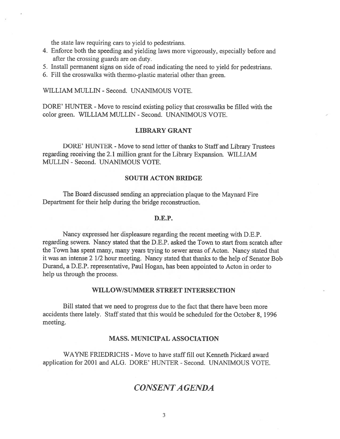the state law requiring cars to yield to pedestrians.

- 4. Enforce both the speeding and yielding laws more vigorously, especially before and after the crossing guards are on duty.
- 5. Install permanent signs on side of road indicating the need to yield for pedestrians.
- 6. Fill the crosswalks with thermo-plastic material other than green.

WILLIAM MULLEN - Second. UNANIMOUS VOTE.

DORE' HUNTER - Move to rescind existing policy that crosswalks be filled with the color green. WILLIAM MULLEN - Second. UNANIMOUS VOTE.

### LIBRARY GRANT

DORE' HUNTER - Move to send letter of thanks to Staff and Library Trustees regarding receiving the 2.1 million gran<sup>t</sup> for the Library Expansion. WILLIAM MULLEN - Second. UNANIMOUS VOTE.

### SOUTH ACTON BRIDGE

The Board discussed sending an appreciation plaque to the Maynard Fire Department for their help during the bridge reconstruction.

#### D.E.P.

Nancy expressed her displeasure regarding the recent meeting with D.E.P. regarding sewers. Nancy stated that the D.E.P. asked the Town to start from scratch after the Town has spen<sup>t</sup> many, many years trying to sewer areas of Acton. Nancy stated that it was an intense 2 1/2 hour meeting. Nancy stated that thanks to the help of Senator Bob Durand, <sup>a</sup> D.E.P. representative, Paul Hogan, has been appointed to Acton in order to help us through the process.

### WILLOW/SUMMER STREET INTERSECTION

Bill stated that we need to progress due to the fact that there have been more accidents there lately. Staff stated that this would be scheduled for the October 8, 1996 meeting.

### MASS. MUNICIPAL ASSOCIATION

WAYNE FRIEDRICHS - Move to have staff fill out Kenneth Pickard award application for 2001 and ALG. DORE' HUNTER -Second. UNANIMOUS VOTE.

## CONSENTA GENDA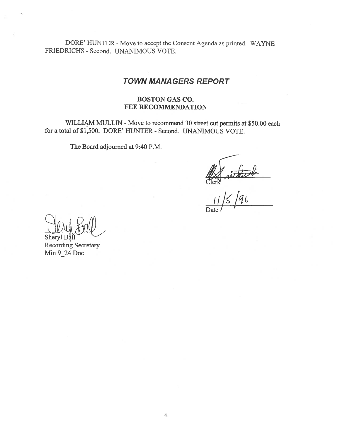DORE' HUNTER - Move to accept the Consent Agenda as printed. WAYNE FRIEDRICHS - Second. UNANIMOUS VOTE.

## TOWN MANAGERS REPORT

## BOSTON GAS CO. FEE RECOMMENDATION

WILLIAM MULLIN - Move to recommend 30 street cut permits at \$50.00 each for <sup>a</sup> total of \$1,500. DORE' HUNTER - Second. UNANIMOUS VOTE.

The Board adjourned at 9:40 P.M.

Ref without

Date *l* 

Sheryl B<sup>a</sup>

Recording Secretary Mm 9\_24 Doc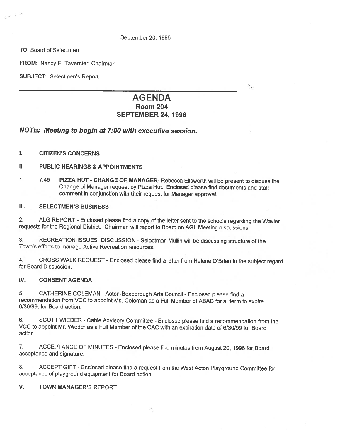September 20, 1996

TO Board of Selectmen

FROM: Nancy E. Tavernier, Chairman

SUBJECT: Selectmen's Report

# AGENDA

# Room 204

٠.

## SEPTEMBER 24, 1996

## NOTE: Meeting to begin at 7:00 with executive session.

### I. CITIZEN'S CONCERNS

### II. PUBLIC HEARINGS & APPOINTMENTS

1. 7:45 PIZZA HUT - CHANGE OF MANAGER- Rebecca Ellsworth will be present to discuss the Change of Manager request by Pizza Hut. Enclosed <sup>p</sup>lease find documents and staff comment in conjunction with their request for Manager approval.

### III. SELECTMEN'S 8USINESS

2. ALG REPORT -Enclosed <sup>p</sup>lease find <sup>a</sup> copy of the letter sent to the schools regarding the Wavier requests for the Regional District. Chairman will report to Board on AGL Meeting discussions.

3. RECREATION ISSUES DISCUSSION -Selectman Mullin will be discussing structure of the Town's efforts to manage Active Recreation resources.

4. CROSS WALK REQUEST - Enclosed <sup>p</sup>lease find <sup>a</sup> letter from Helene O'Brien in the subject regard for Board Discussion.

### IV. CONSENT AGENDA

5. CATHERINE COLEMAN - Acton-Boxborough Arts Council - Enclosed please find a recommendation from VCC to appoint Ms. Coleman as <sup>a</sup> Full Member of ABAC for <sup>a</sup> term to expire 6/30/99, for Board action.

6. SCOTT WIEDER -Cable Advisory Committee - Enclosed <sup>p</sup>lease find <sup>a</sup> recommendation from the VCC to appoint Mr. Wieder as <sup>a</sup> Full Member of the CAC with an expiration date of 6/30/99 for Board action.

7. ACCEPTANCE OF MINUTES - Enclosed <sup>p</sup>lease find minutes from August 20, <sup>1996</sup> for Board acceptance and signature.

8. ACCEPT GIFT -Enclosed <sup>p</sup>lease find <sup>a</sup> request from the West Acton Playground Committee for acceptance of <sup>p</sup>layground equipment for Board action.

### V. TOWN MANAGER'S REPORT